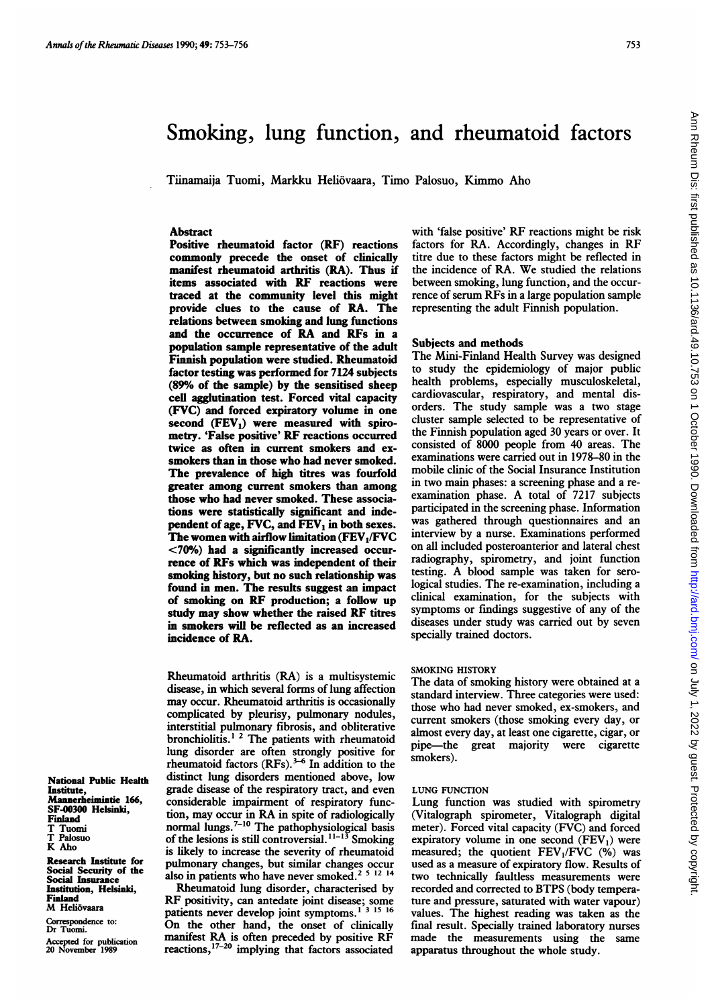# Smoking, lung function, and rheumatoid factors

Tiinamaija Tuomi, Markku Heliovaara, Timo Palosuo, Kimmo Aho

# Abstract

Positive rheumatoid factor (RF) reactions commonly precede the onset of clinicaily manifest rheumatoid arthritis (RA). Thus if items associated with RF reactions were traced at the community level this might provide clues to the cause of RA. The relations between smoking and lung functions and the occurrence of RA and RFs in <sup>a</sup> population sample representative of the adult Finnish population were studied. Rheumatoid factor testing was performed for 7124 subjects (89% of the sample) by the sensitised sheep cell agglutination test. Forced vital capacity (FVC) and forced expiratory volume in one second  $(FEV_1)$  were measured with spirometry. 'False positive' RF reactions occurred twice as often in current smokers and exsmokers than in those who had never smoked. The prevalence of high titres was fourfold greater among current smokers than among those who had never smoked. These associations were statistically significant and independent of age,  $FVC$ , and  $FEV<sub>1</sub>$  in both sexes. The women with airflow limitation  $(FEV_1/FVC)$ <70%) had a significantly increased occurrence of RFs which was independent of their smoking history, but no such relationship was found in men. The results suggest an impact of smoking on RF production; <sup>a</sup> follow up study may show whether the raised RF titres in smokers will be reflected as an increased incidence of RA.

Rheumatoid arthritis (RA) is a multisystemic disease, in which several forms of lung affection may occur. Rheumatoid arthritis is occasionally complicated by pleurisy, pulmonary nodules, interstitial pulmonary fibrosis, and obliterative bronchiolitis.<sup>1</sup><sup>2</sup> The patients with rheumatoid lung disorder are often strongly positive for rheumatoid factors  $(RFs).$ <sup>3-6</sup> In addition to the distinct lung disorders mentioned above, low grade disease of the respiratory tract, and even considerable impairment of respiratory function, may occur in RA in spite of radiologically normal lungs.<sup>7-10</sup> The pathophysiological basis of the lesions is still controversial. 11-13 Smoking is likely to increase the severity of rheumatoid pulmonary changes, but similar changes occur also in patients who have never smoked.<sup>2 5 12 14</sup>

Rheumatoid lung disorder, characterised by RF positivity, can antedate joint disease; some patients never develop joint symptoms.<sup>13</sup> 15<sup>16</sup> On the other hand, the onset of clinically manifest RA is often preceded by positive RF reactions,  $17-20$  implying that factors associated

with 'false positive' RF reactions might be risk factors for RA. Accordingly, changes in RF titre due to these factors might be reflected in the incidence of RA. We studied the relations between smoking, lung function, and the occurrence of serum RFs in <sup>a</sup> large population sample representing the adult Finnish population.

### Subjects and methods

The Mini-Finland Health Survey was designed to study the epidemiology of major public health problems, especially musculoskeletal, cardiovascular, respiratory, and mental disorders. The study sample was a two stage cluster sample selected to be representative of the Finnish population aged 30 years or over. It consisted of 8000 people from 40 areas. The examinations were carried out in 1978-80 in the mobile clinic of the Social Insurance Institution in two main phases: a screening phase and a reexamination phase. A total of <sup>7217</sup> subjects participated in the screening phase. Information was gathered through questionnaires and an interview by a nurse. Examinations performed on all included posteroanterior and lateral chest radiography, spirometry, and joint function testing. A blood sample was taken for serological studies. The re-examination, including a clinical examination, for the subjects with symptoms or findings suggestive of any of the diseases under study was carried out by seven specially trained doctors.

#### SMOKING HISTORY

The data of smoking history were obtained at a standard interview. Three categories were used: those who had never smoked, ex-smokers, and current smokers (those smoking every day, or almost every day, at least one cigarette, cigar, or pipe-the great majority were cigarette smokers).

# LUNG FUNCTION

Lung function was studied with spirometry (Vitalograph spirometer, Vitalograph digital meter). Forced vital capacity (FVC) and forced expiratory volume in one second  $(FEV_1)$  were measured; the quotient  $FEV<sub>1</sub>/FVC$  (%) was used as a measure of expiratory flow. Results of two technically faultless measurements were recorded and corrected to BTPS (body temperature and pressure, saturated with water vapour) values. The highest reading was taken as the final result. Specially trained laboratory nurses made the measurements using the same apparatus throughout the whole study.

National Public Health Institute, Mannerheimintie 166, SF-00300 Helsinki, Finland T Tuomi T Palosuo K Aho

Research Institute for Social Security of the Social Insurance Institution, Helsinki, Finland M Heliövaara

Correspondence to: Dr Tuomi.

Accepted for publication 20 November 1989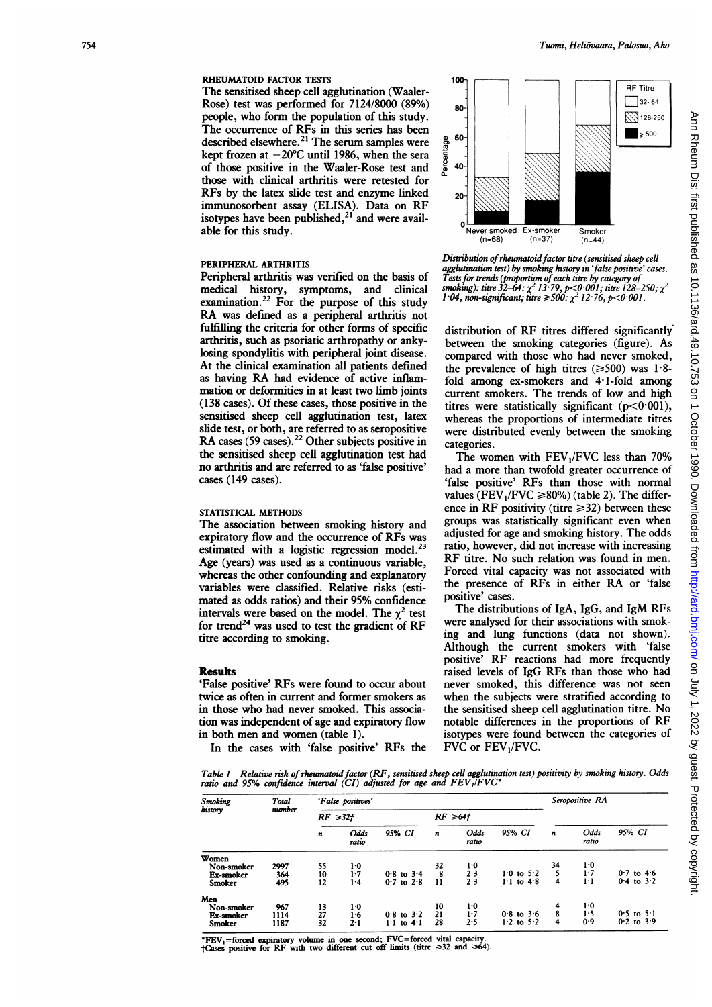#### RHEUMATOID FACTOR TESTS

The sensitised sheep cell agglutination (Waaler-Rose) test was performed for 7124/8000 (89%) people, who form the population of this study. The occurrence of RFs in this series has been described elsewhere.<sup>21</sup> The serum samples were kept frozen at  $-20^{\circ}$ C until 1986, when the sera of those positive in the Waaler-Rose test and those with clinical arthritis were retested for RFs by the latex slide test and enzyme linked immunosorbent assay (ELISA). Data on RF isotypes have been published, $2^{1}$  and were available for this study.

#### PERIPHERAL ARTHRITIS

Peripheral arthritis was verified on the basis of medical history, symptoms, and clinical examination.<sup>22</sup> For the purpose of this study RA was defined as <sup>a</sup> peripheral arthritis not fulfilling the criteria for other forms of specific arthritis, such as psoriatic arthropathy or ankylosing spondylitis with peripheral joint disease. At the clinical examination all patients defined as having RA had evidence of active inflammation or deformities in at least two limb joints (138 cases). Of these cases, those positive in the sensitised sheep cell agglutination test, latex slide test, or both, are referred to as seropositive RA cases (59 cases).<sup>22</sup> Other subjects positive in the sensitised sheep cell agglutination test had no arthritis and are referred to as 'false positive' cases (149 cases).

#### STATISTICAL METHODS

The association between smoking history and expiratory flow and the occurrence of RFs was estimated with a logistic regression model.<sup>23</sup> Age (years) was used as a continuous variable, whereas the other confounding and explanatory variables were classified. Relative risks (estimated as odds ratios) and their 95% confidence intervals were based on the model. The  $\chi^2$  test for trend<sup>24</sup> was used to test the gradient of RF titre according to smoking.

#### **Results**

'False positive' RFs were found to occur about twice as often in current and former smokers as in those who had never smoked. This association was independent of age and expiratory flow in both men and women (table 1).

In the cases with 'false positive' RFs the



Distribution of rheumatoid factor titre (sensitised sheep cell agglutination test) by smoking history in 'false positive' cases. Tests for trends (proportion of each titre by category of smoking): titre 32–64:  $\chi^2$  13.79, p<0.001; titre 128–250;  $\chi^2$ 1.04, non-significant; titre  $\geq 500$ :  $\chi^2$  12.76, p<0.001.

distribution of RF titres differed significantly between the smoking categories (figure). As compared with those who had never smoked, the prevalence of high titres ( $\geq 500$ ) was 1.8fold among ex-smokers and 4.1-fold among current smokers. The trends of low and high titres were statistically significant  $(p<0.001)$ , whereas the proportions of intermediate titres were distributed evenly between the smoking categories.

The women with  $FEV<sub>1</sub>/FVC$  less than 70% had a more than twofold greater occurrence of 'false positive' RFs than those with normal values ( $FEV<sub>1</sub>/FVC \ge 80\%$ ) (table 2). The difference in RF positivity (titre  $\geq$  32) between these groups was statistically significant even when adjusted for age and smoking history. The odds ratio, however, did not increase with increasing RF titre. No such relation was found in men. Forced vital capacity was not associated with the presence of RFs in either RA or 'false positive' cases.

The distributions of IgA, IgG, and IgM RFs were analysed for their associations with smoking and lung functions (data not shown). Although the current smokers with 'false positive' RF reactions had more frequently raised levels of IgG RFs than those who had never smoked, this difference was not seen when the subjects were stratified according to the sensitised sheep cell agglutination titre. No notable differences in the proportions of RF isotypes were found between the categories of FVC or FEV<sub>1</sub>/FVC.

Table <sup>I</sup> Relative risk of rheumatoid factor (RF, sensitised sheep cell agglutination test) positivity by smoking history. Odds ratio and 95% confudence interval (CI) adjusted for age and FEV,/FVC\*

| Smoking<br>history | Total<br>number | 'False positives' |               |                |               |               |                            | Seropositive RA |               |                |
|--------------------|-----------------|-------------------|---------------|----------------|---------------|---------------|----------------------------|-----------------|---------------|----------------|
|                    |                 | $RF \ge 32f$      |               |                | $RF \geq 64f$ |               |                            |                 |               |                |
|                    |                 | $\boldsymbol{n}$  | Odds<br>ratio | 95% CI         | n             | Odds<br>ratio | 95% CI                     | n               | Odds<br>ratio | 95% CI         |
| Women              |                 |                   |               |                |               |               |                            |                 |               |                |
| Non-smoker         | 2997            | 55                | 1.0           |                | 32            | 1.0           |                            | 34              | 1.0           |                |
| Ex-smoker          | 364             | 10                | 1.7           | $0.8$ to $3.4$ | 8             | 2.3           | $1.0$ to $5.2$             | 5               | $1-7$         | $0.7$ to $4.6$ |
| Smoker             | 495             | 12                | 1.4           | $0.7$ to $2.8$ | 11            | 2.3           | $1 \cdot 1$ to $4 \cdot 8$ | 4               | $1 \cdot 1$   | $0.4$ to $3.2$ |
| Men                |                 |                   |               |                |               |               |                            |                 |               |                |
| Non-smoker         | 967             | 13                | 1.0           |                | 10            | 1.0           |                            | 4               | 1.0           |                |
| Ex-smoker          | 1114            | 27                | 1.6           | $0.8$ to $3.2$ | 21            | 1.7           | $0.8$ to $3.6$             | 8               | 1.5           | $0.5$ to $5.1$ |
| Smoker             | 1187            | 32                | 2.1           | $1.1$ to $4.1$ | 28            | 2.5           | $1.2$ to $5.2$             | 4               | 0.9           | $0.2$ to $3.9$ |

\*FEV<sub>1</sub>=forced expiratory volume in one second; FVC=forced vital capacity.<br>†Cases positive for RF with two different cut off limits (titre  $\geq 32$  and  $\geq 64$ ).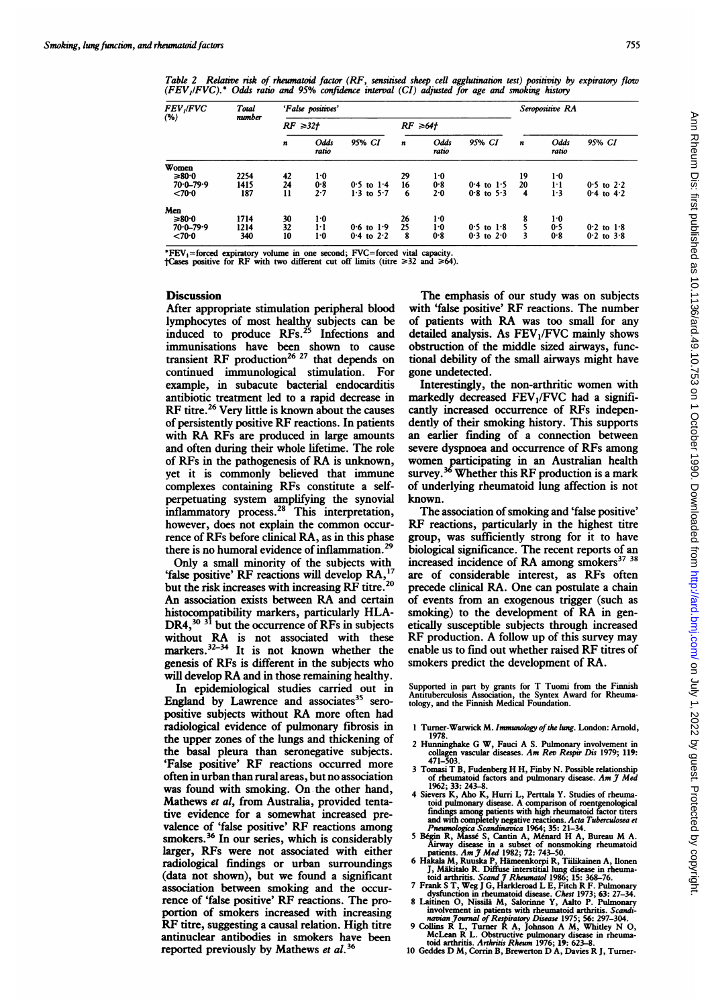755

Table 2 Relative risk of rheumatoid factor (RF, sensitised sheep cell agglutination test) positivity by expiratory flow (FEV,IFVC).\* Odds ratio and 95% confidence interval (CI) adjusted for age and smoking history

| <i>FEV ,IFVC</i><br>$($ %) | <b>T</b> otal<br>number | 'False positives' |               |                |                  |               |                |    | Seropositive RA |                |  |
|----------------------------|-------------------------|-------------------|---------------|----------------|------------------|---------------|----------------|----|-----------------|----------------|--|
|                            |                         | $RF \ge 32t$      |               |                | $RF \geq 64f$    |               |                |    |                 |                |  |
|                            |                         | n                 | Odds<br>ratio | 95% CI         | $\boldsymbol{n}$ | Odds<br>ratio | 95% CI         | n  | Odds<br>ratio   | 95% CI         |  |
| Women                      |                         |                   |               |                |                  |               |                |    |                 |                |  |
| $≥80.0$                    | 2254                    | 42                | $1-0$         |                | 29               | $1-0$         |                | 19 | $1-0$           |                |  |
| $70.0 - 79.9$              | 1415                    | 24                | 0.8           | $0.5$ to $1.4$ | 16               | 0.8           | $0.4$ to $1.5$ | 20 | ŀl              | $0.5$ to $2.2$ |  |
| < 70.0                     | 187                     | 11                | 2.7           | $1.3$ to $5.7$ | -6               | 2.0           | $0.8$ to 5.3   | 4  | 1.3             | $0.4$ to $4.2$ |  |
| Men                        |                         |                   |               |                |                  |               |                |    |                 |                |  |
| ≥80.0                      | 1714                    |                   | 1.0           |                | 26               | ŀ0            |                |    | 1.0             |                |  |
| $70.0 - 79.9$              | 1214                    | $\frac{30}{32}$   | $1 - 1$       | $0.6$ to $1.9$ | 25               | $1-0$         | $0.5$ to $1.8$ |    | 0.5             | $0.2$ to $1.8$ |  |
| < 70.0                     | 340                     | 10                | $1-0$         | 0.4 to $2.2$   | -8               | 0.8           | $0.3$ to $2.0$ | 3  | 0.8             | $0.2$ to $3.8$ |  |

\*FEV<sub>1</sub>=forced expiratory volume in one second; FVC=forced vital capacity.<br>†Cases positive for RF with two different cut off limits (titre  $\geq 32$  and  $\geq 64$ ).

## **Discussion**

After appropriate stimulation peripheral blood lymphocytes of most healthy subjects can be induced to produce RFs.<sup>25</sup> Infections and immunisations have been shown to cause transient RF production<sup>26 27</sup> that depends on continued immunological stimulation. For example, in subacute bacterial endocarditis antibiotic treatment led to a rapid decrease in RF titre.<sup>26</sup> Very little is known about the causes of persistently positive RF reactions. In patients with RA RFs are produced in large amounts and often during their whole lifetime. The role of RFs in the pathogenesis of RA is unknown, yet it is commonly believed that immune complexes containing RFs constitute a selfperpetuating system amplifying the synovial inflammatory process.<sup>28</sup> This interpretation, however, does not explain the common occurrence of RFs before clinical RA, as in this phase there is no humoral evidence of inflammation.<sup>29</sup>

Only a small minority of the subjects with 'false positive' RF reactions will develop RA, but the risk increases with increasing RF titre.<sup>20</sup> An association exists between RA and certain histocompatibility markers, particularly HLA- $DR4<sup>30</sup>$ <sup>31</sup> but the occurrence of RFs in subjects without RA is not associated with these markers.<sup>32–34</sup> It is not known whether the genesis of RFs is different in the subjects who will develop RA and in those remaining healthy.

In epidemiological studies carried out in England by Lawrence and associates $35$  seropositive subjects without RA more often had radiological evidence of pulmonary fibrosis in the upper zones of the lungs and thickening of the basal pleura than seronegative subjects. 'False positive' RF reactions occurred more often in urban than rural areas, but no association was found with smoking. On the other hand, Mathews et al, from Australia, provided tentative evidence for a somewhat increased prevalence of 'false positive' RF reactions among smokers.<sup>36</sup> In our series, which is considerably larger, RFs were not associated with either radiological findings or urban surroundings (data not shown), but we found a significant association between smoking and the occurrence of 'false positive' RF reactions. The proportion of smokers increased with increasing RF titre, suggesting <sup>a</sup> causal relation. High titre antinuclear antibodies in smokers have been reported previously by Mathews et al.<sup>36</sup>

The emphasis of our study was on subjects with 'false positive' RF reactions. The number of patients with RA was too small for any detailed analysis. As  $FEV<sub>1</sub>/FVC$  mainly shows obstruction of the middle sized airways, functional debility of the small airways might have gone undetected.

Interestingly, the non-arthritic women with markedly decreased FEV,/FVC had a significandy increased occurrence of RFs independently of their smoking history. This supports an earlier finding of a connection between severe dyspnoea and occurrence of RFs among women participating in an Australian health survey.<sup>36</sup> Whether this RF production is a mark of underlying rheumatoid lung affection is not known.

The association of smoking and 'false positive' RF reactions, particularly in the highest titre group, was sufficiently strong for it to have biological significance. The recent reports of an increased incidence of RA among smokers<sup>37</sup> <sup>38</sup> are of considerable interest, as RFs often precede clinical RA. One can postulate a chain of events from an exogenous trigger (such as smoking) to the development of RA in genetically susceptible subjects through increased RF production. A follow up of this survey may enable us to find out whether raised RF titres of smokers predict the development of RA.

Supported in part by grants for T Tuomi from the Finnish Antituberculosis Association, the Syntex Award for Rheumatology, and the Finnish Medical Foundation.

- 1 Turner-Warwick M. Immunology of the lung. London: Arnold,
- 1978.<br>
2 Hunninghake G W, Fauci A S. Pulmonary involvement in<br>
collagen vascular diseases. Am Rev Respir Dis 1979; 119:<br>
471–503.
- <sup>3</sup> Tomasi T B, Fudenberg H H, Finby N. Possible relationship of rheumatoid factors and pulmonary disease. Am J Med 1962; 33: 243-8.
- 4 Sievers K, Aho K, Hurri L, Perttala Y. Studies of rheumation diumonary disease. A comparison of rontgenological<br>findings among patients with high rheumatoid factor tiers<br>and with completely negative reactions. Acta Tube
	-
- 
- 
- 
- 
-